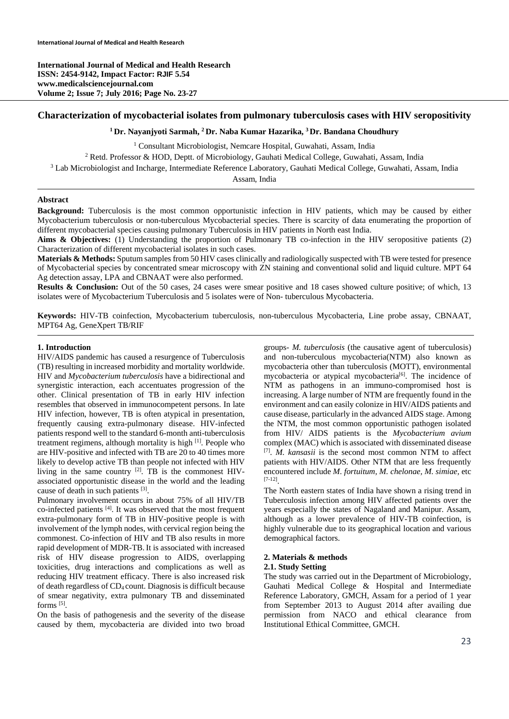**International Journal of Medical and Health Research ISSN: 2454-9142, Impact Factor: RJIF 5.54 www.medicalsciencejournal.com Volume 2; Issue 7; July 2016; Page No. 23-27** 

## **Characterization of mycobacterial isolates from pulmonary tuberculosis cases with HIV seropositivity**

**1 Dr. Nayanjyoti Sarmah, 2 Dr. Naba Kumar Hazarika, 3 Dr. Bandana Choudhury** 

<sup>1</sup> Consultant Microbiologist, Nemcare Hospital, Guwahati, Assam, India <sup>1</sup> Consultant Microbiologist, Nemcare Hospital, Guwahati, Assam, India  $\frac{2 \text{ Beta}}{2 \text{ Beta}}$ <sup>2</sup> Retd. Professor & HOD, Deptt. of Microbiology, Gauhati Medical College, Guwahati, Assam, India <sup>3</sup> Lab Microbiologist and Incharge, Intermediate Reference Laboratory, Gauhati Medical College, Guwahati, Ass Lab Microbiologist and Incharge, Intermediate Reference Laboratory, Gauhati Medical College, Guwahati, Assam, India Assam, India

#### **Abstract**

**Background:** Tuberculosis is the most common opportunistic infection in HIV patients, which may be caused by either Mycobacterium tuberculosis or non-tuberculous Mycobacterial species. There is scarcity of data enumerating the proportion of different mycobacterial species causing pulmonary Tuberculosis in HIV patients in North east India.

**Aims & Objectives:** (1) Understanding the proportion of Pulmonary TB co-infection in the HIV seropositive patients (2) Characterization of different mycobacterial isolates in such cases.

**Materials & Methods:** Sputum samples from 50 HIV cases clinically and radiologically suspected with TB were tested for presence of Mycobacterial species by concentrated smear microscopy with ZN staining and conventional solid and liquid culture. MPT 64 Ag detection assay, LPA and CBNAAT were also performed.

**Results & Conclusion:** Out of the 50 cases, 24 cases were smear positive and 18 cases showed culture positive; of which, 13 isolates were of Mycobacterium Tuberculosis and 5 isolates were of Non- tuberculous Mycobacteria.

**Keywords:** HIV-TB coinfection, Mycobacterium tuberculosis, non-tuberculous Mycobacteria, Line probe assay, CBNAAT, MPT64 Ag, GeneXpert TB/RIF

#### **1. Introduction**

HIV/AIDS pandemic has caused a resurgence of Tuberculosis (TB) resulting in increased morbidity and mortality worldwide. HIV and *Mycobacterium tuberculosis* have a bidirectional and synergistic interaction, each accentuates progression of the other. Clinical presentation of TB in early HIV infection resembles that observed in immunocompetent persons. In late HIV infection, however, TB is often atypical in presentation, frequently causing extra-pulmonary disease. HIV-infected patients respond well to the standard 6-month anti-tuberculosis treatment regimens, although mortality is high [1]. People who are HIV-positive and infected with TB are 20 to 40 times more likely to develop active TB than people not infected with HIV living in the same country  $[2]$ . TB is the commonest HIVassociated opportunistic disease in the world and the leading cause of death in such patients [3].

Pulmonary involvement occurs in about 75% of all HIV/TB co-infected patients [4]. It was observed that the most frequent extra-pulmonary form of TB in HIV-positive people is with involvement of the lymph nodes, with cervical region being the commonest. Co-infection of HIV and TB also results in more rapid development of MDR-TB.It is associated with increased risk of HIV disease progression to AIDS, overlapping toxicities, drug interactions and complications as well as reducing HIV treatment efficacy. There is also increased risk of death regardless of CD4 count. Diagnosis is difficult because of smear negativity, extra pulmonary TB and disseminated forms [5].

On the basis of pathogenesis and the severity of the disease caused by them, mycobacteria are divided into two broad groups- *M. tuberculosis* (the causative agent of tuberculosis) and non-tuberculous mycobacteria(NTM) also known as mycobacteria other than tuberculosis (MOTT), environmental mycobacteria or atypical mycobacteria<sup>[6]</sup>. The incidence of NTM as pathogens in an immuno-compromised host is increasing. A large number of NTM are frequently found in the environment and can easily colonize in HIV/AIDS patients and cause disease, particularly in the advanced AIDS stage. Among the NTM, the most common opportunistic pathogen isolated from HIV/ AIDS patients is the *Mycobacterium avium*  complex (MAC) which is associated with disseminated disease [7]. *M. kansasii* is the second most common NTM to affect patients with HIV/AIDS. Other NTM that are less frequently encountered include *M. fortuitum, M. chelonae, M. simiae,* etc [7-12].

The North eastern states of India have shown a rising trend in Tuberculosis infection among HIV affected patients over the years especially the states of Nagaland and Manipur. Assam, although as a lower prevalence of HIV-TB coinfection, is highly vulnerable due to its geographical location and various demographical factors.

#### **2. Materials & methods**

#### **2.1. Study Setting**

The study was carried out in the Department of Microbiology, Gauhati Medical College & Hospital and Intermediate Reference Laboratory, GMCH, Assam for a period of 1 year from September 2013 to August 2014 after availing due permission from NACO and ethical clearance from Institutional Ethical Committee, GMCH.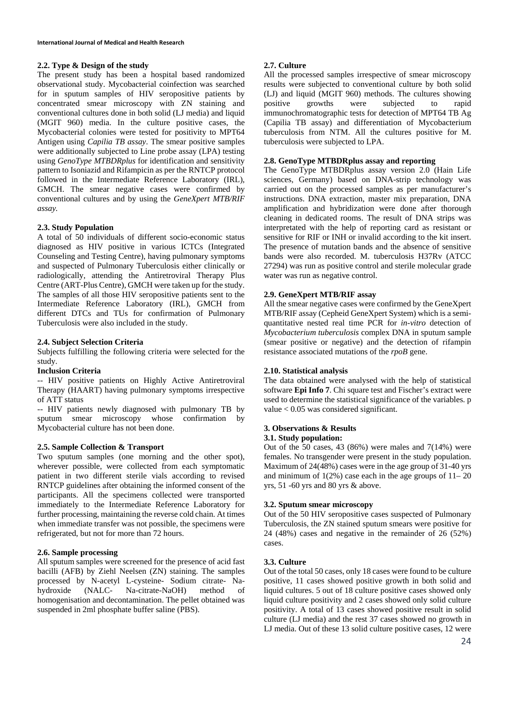### **2.2. Type & Design of the study**

The present study has been a hospital based randomized observational study. Mycobacterial coinfection was searched for in sputum samples of HIV seropositive patients by concentrated smear microscopy with ZN staining and conventional cultures done in both solid (LJ media) and liquid (MGIT 960) media. In the culture positive cases, the Mycobacterial colonies were tested for positivity to MPT64 Antigen using *Capilia TB assay*. The smear positive samples were additionally subjected to Line probe assay (LPA) testing using *GenoType MTBDRplus* for identification and sensitivity pattern to Isoniazid and Rifampicin as per the RNTCP protocol followed in the Intermediate Reference Laboratory (IRL), GMCH. The smear negative cases were confirmed by conventional cultures and by using the *GeneXpert MTB/RIF assay.* 

### **2.3. Study Population**

A total of 50 individuals of different socio-economic status diagnosed as HIV positive in various ICTCs (Integrated Counseling and Testing Centre), having pulmonary symptoms and suspected of Pulmonary Tuberculosis either clinically or radiologically, attending the Antiretroviral Therapy Plus Centre (ART-Plus Centre), GMCH were taken up for the study. The samples of all those HIV seropositive patients sent to the Intermediate Reference Laboratory (IRL), GMCH from different DTCs and TUs for confirmation of Pulmonary Tuberculosis were also included in the study.

### **2.4. Subject Selection Criteria**

Subjects fulfilling the following criteria were selected for the study.

#### **Inclusion Criteria**

-- HIV positive patients on Highly Active Antiretroviral Therapy (HAART) having pulmonary symptoms irrespective of ATT status

-- HIV patients newly diagnosed with pulmonary TB by sputum smear microscopy whose confirmation by Mycobacterial culture has not been done.

### **2.5. Sample Collection & Transport**

Two sputum samples (one morning and the other spot), wherever possible, were collected from each symptomatic patient in two different sterile vials according to revised RNTCP guidelines after obtaining the informed consent of the participants. All the specimens collected were transported immediately to the Intermediate Reference Laboratory for further processing, maintaining the reverse cold chain. At times when immediate transfer was not possible, the specimens were refrigerated, but not for more than 72 hours.

## **2.6. Sample processing**

All sputum samples were screened for the presence of acid fast bacilli (AFB) by Ziehl Neelsen (ZN) staining. The samples processed by N-acetyl L-cysteine- Sodium citrate- Nahydroxide (NALC- Na-citrate-NaOH) method of homogenisation and decontamination. The pellet obtained was suspended in 2ml phosphate buffer saline (PBS).

### **2.7. Culture**

All the processed samples irrespective of smear microscopy results were subjected to conventional culture by both solid (LJ) and liquid (MGIT 960) methods. The cultures showing positive growths were subjected to rapid immunochromatographic tests for detection of MPT64 TB Ag (Capilia TB assay) and differentiation of Mycobacterium tuberculosis from NTM. All the cultures positive for M. tuberculosis were subjected to LPA.

# **2.8. GenoType MTBDRplus assay and reporting**

The GenoType MTBDRplus assay version 2.0 (Hain Life sciences, Germany) based on DNA-strip technology was carried out on the processed samples as per manufacturer's instructions. DNA extraction, master mix preparation, DNA amplification and hybridization were done after thorough cleaning in dedicated rooms. The result of DNA strips was interpretated with the help of reporting card as resistant or sensitive for RIF or INH or invalid according to the kit insert. The presence of mutation bands and the absence of sensitive bands were also recorded. M. tuberculosis H37Rv (ATCC 27294) was run as positive control and sterile molecular grade water was run as negative control.

### **2.9. GeneXpert MTB/RIF assay**

All the smear negative cases were confirmed by the GeneXpert MTB/RIF assay (Cepheid GeneXpert System) which is a semiquantitative nested real time PCR for *in-vitro* detection of *Mycobacterium tuberculosis* complex DNA in sputum sample (smear positive or negative) and the detection of rifampin resistance associated mutations of the *rpoB* gene.

#### **2.10. Statistical analysis**

The data obtained were analysed with the help of statistical software **Epi Info 7**. Chi square test and Fischer's extract were used to determine the statistical significance of the variables. p value < 0.05 was considered significant.

## **3. Observations & Results**

## **3.1. Study population:**

Out of the 50 cases, 43  $(86%)$  were males and  $7(14%)$  were females. No transgender were present in the study population. Maximum of 24(48%) cases were in the age group of 31-40 yrs and minimum of  $1(2\%)$  case each in the age groups of  $11-20$ yrs, 51 -60 yrs and 80 yrs & above.

### **3.2. Sputum smear microscopy**

Out of the 50 HIV seropositive cases suspected of Pulmonary Tuberculosis, the ZN stained sputum smears were positive for 24 (48%) cases and negative in the remainder of 26 (52%) cases.

### **3.3. Culture**

Out of the total 50 cases, only 18 cases were found to be culture positive, 11 cases showed positive growth in both solid and liquid cultures. 5 out of 18 culture positive cases showed only liquid culture positivity and 2 cases showed only solid culture positivity. A total of 13 cases showed positive result in solid culture (LJ media) and the rest 37 cases showed no growth in LJ media. Out of these 13 solid culture positive cases, 12 were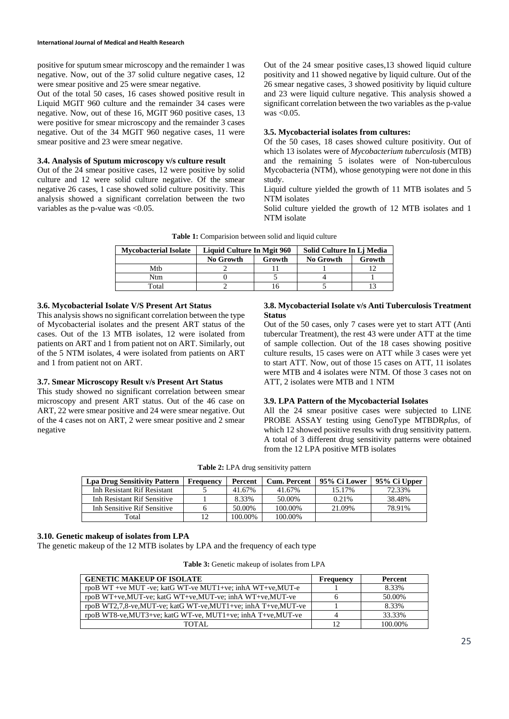#### **International Journal of Medical and Health Research**

positive for sputum smear microscopy and the remainder 1 was negative. Now, out of the 37 solid culture negative cases, 12 were smear positive and 25 were smear negative.

Out of the total 50 cases, 16 cases showed positive result in Liquid MGIT 960 culture and the remainder 34 cases were negative. Now, out of these 16, MGIT 960 positive cases, 13 were positive for smear microscopy and the remainder 3 cases negative. Out of the 34 MGIT 960 negative cases, 11 were smear positive and 23 were smear negative.

### **3.4. Analysis of Sputum microscopy v/s culture result**

Out of the 24 smear positive cases, 12 were positive by solid culture and 12 were solid culture negative. Of the smear negative 26 cases, 1 case showed solid culture positivity. This analysis showed a significant correlation between the two variables as the p-value was <0.05.

Out of the 24 smear positive cases,13 showed liquid culture positivity and 11 showed negative by liquid culture. Out of the 26 smear negative cases, 3 showed positivity by liquid culture and 23 were liquid culture negative. This analysis showed a significant correlation between the two variables as the p-value was  $< 0.05$ .

### **3.5. Mycobacterial isolates from cultures:**

Of the 50 cases, 18 cases showed culture positivity. Out of which 13 isolates were of *Mycobacterium tuberculosis* (MTB) and the remaining 5 isolates were of Non-tuberculous Mycobacteria (NTM), whose genotyping were not done in this study.

Liquid culture yielded the growth of 11 MTB isolates and 5 NTM isolates

Solid culture yielded the growth of 12 MTB isolates and 1 NTM isolate

| <b>Mycobacterial Isolate</b> | Liquid Culture In Mgit 960 |        | Solid Culture In Lj Media |        |
|------------------------------|----------------------------|--------|---------------------------|--------|
|                              | <b>No Growth</b>           | Growth | <b>No Growth</b>          | Growth |
| Mth                          |                            |        |                           |        |
| Ntm                          |                            |        |                           |        |
| Total                        |                            |        |                           |        |

**Table 1:** Comparision between solid and liquid culture

#### **3.6. Mycobacterial Isolate V/S Present Art Status**

This analysis shows no significant correlation between the type of Mycobacterial isolates and the present ART status of the cases. Out of the 13 MTB isolates, 12 were isolated from patients on ART and 1 from patient not on ART. Similarly, out of the 5 NTM isolates, 4 were isolated from patients on ART and 1 from patient not on ART.

### **3.7. Smear Microscopy Result v/s Present Art Status**

This study showed no significant correlation between smear microscopy and present ART status. Out of the 46 case on ART, 22 were smear positive and 24 were smear negative. Out of the 4 cases not on ART, 2 were smear positive and 2 smear negative

## **3.8. Mycobacterial Isolate v/s Anti Tuberculosis Treatment Status**

Out of the 50 cases, only 7 cases were yet to start ATT (Anti tubercular Treatment), the rest 43 were under ATT at the time of sample collection. Out of the 18 cases showing positive culture results, 15 cases were on ATT while 3 cases were yet to start ATT. Now, out of those 15 cases on ATT, 11 isolates were MTB and 4 isolates were NTM. Of those 3 cases not on ATT, 2 isolates were MTB and 1 NTM

### **3.9. LPA Pattern of the Mycobacterial Isolates**

All the 24 smear positive cases were subjected to LINE PROBE ASSAY testing using GenoType MTBDR*plus,* of which 12 showed positive results with drug sensitivity pattern. A total of 3 different drug sensitivity patterns were obtained from the 12 LPA positive MTB isolates

| Table 2: LPA drug sensitivity pattern |  |  |  |
|---------------------------------------|--|--|--|
|---------------------------------------|--|--|--|

| Lpa Drug Sensitivity Pattern       | <b>Frequency</b> | Percent | Cum. Percent | 95% Ci Lower | 95% Ci Upper |
|------------------------------------|------------------|---------|--------------|--------------|--------------|
| <b>Inh Resistant Rif Resistant</b> |                  | 41.67%  | 41.67%       | 15.17%       | 72.33%       |
| Inh Resistant Rif Sensitive        |                  | 8.33%   | 50.00%       | 0.21%        | 38.48%       |
| Inh Sensitive Rif Sensitive        |                  | 50.00%  | 100.00%      | 21.09%       | 78.91%       |
| Total                              |                  | 100.00% | 100.00%      |              |              |

### **3.10. Genetic makeup of isolates from LPA**

The genetic makeup of the 12 MTB isolates by LPA and the frequency of each type

| <b>Table 3:</b> Genetic makeup of isolates from LPA |  |
|-----------------------------------------------------|--|
|-----------------------------------------------------|--|

| <b>GENETIC MAKEUP OF ISOLATE</b>                             | Frequency | <b>Percent</b> |
|--------------------------------------------------------------|-----------|----------------|
| rpoB WT +ve MUT -ve; katG WT-ve MUT1+ve; inhA WT+ve, MUT-e   |           | 8.33%          |
| rpoB WT+ve,MUT-ve; katG WT+ve,MUT-ve; inhA WT+ve,MUT-ve      |           | 50.00%         |
| rpoB WT2,7,8-ve,MUT-ve; katG WT-ve,MUT1+ve; inhA T+ve,MUT-ve |           | 8.33%          |
| rpoB WT8-ve, MUT3+ve; katG WT-ve, MUT1+ve; inhA T+ve, MUT-ve |           | 33.33%         |
| TOTAL.                                                       |           | 100.00%        |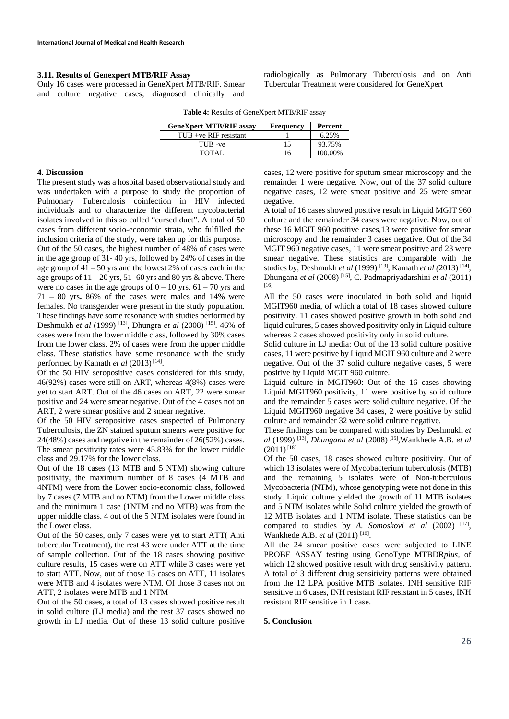## **3.11. Results of Genexpert MTB/RIF Assay**

Only 16 cases were processed in GeneXpert MTB/RIF. Smear and culture negative cases, diagnosed clinically and radiologically as Pulmonary Tuberculosis and on Anti Tubercular Treatment were considered for GeneXpert

| <b>GeneXpert MTB/RIF assay</b> | <b>Frequency</b> | Percent |
|--------------------------------|------------------|---------|
| $TUB +ve RIF$ resistant        |                  | 6.25%   |
| TUB-ve                         | 15               | 93.75%  |
| TOTAL                          | 16               | 100.00% |

#### **4. Discussion**

The present study was a hospital based observational study and was undertaken with a purpose to study the proportion of Pulmonary Tuberculosis coinfection in HIV infected individuals and to characterize the different mycobacterial isolates involved in this so called "cursed duet". A total of 50 cases from different socio-economic strata, who fulfilled the inclusion criteria of the study, were taken up for this purpose. Out of the 50 cases, the highest number of 48% of cases were in the age group of 31- 40 yrs, followed by 24% of cases in the age group of  $41 - 50$  yrs and the lowest 2% of cases each in the age groups of  $11 - 20$  yrs,  $51 - 60$  yrs and 80 yrs & above. There were no cases in the age groups of  $0 - 10$  yrs,  $61 - 70$  yrs and 71 – 80 yrs**.** 86% of the cases were males and 14% were females. No transgender were present in the study population. These findings have some resonance with studies performed by Deshmukh *et al* (1999) [13], Dhungra *et al* (2008) [15]. 46% of cases were from the lower middle class, followed by 30% cases from the lower class. 2% of cases were from the upper middle class. These statistics have some resonance with the study performed by Kamath et al (2013)<sup>[14]</sup>.

Of the 50 HIV seropositive cases considered for this study, 46(92%) cases were still on ART, whereas 4(8%) cases were yet to start ART. Out of the 46 cases on ART, 22 were smear positive and 24 were smear negative. Out of the 4 cases not on ART, 2 were smear positive and 2 smear negative.

Of the 50 HIV seropositive cases suspected of Pulmonary Tuberculosis, the ZN stained sputum smears were positive for 24(48%) cases and negative in the remainder of 26(52%) cases. The smear positivity rates were 45.83% for the lower middle class and 29.17% for the lower class.

Out of the 18 cases (13 MTB and 5 NTM) showing culture positivity, the maximum number of 8 cases (4 MTB and 4NTM) were from the Lower socio-economic class, followed by 7 cases (7 MTB and no NTM) from the Lower middle class and the minimum 1 case (1NTM and no MTB) was from the upper middle class. 4 out of the 5 NTM isolates were found in the Lower class.

Out of the 50 cases, only 7 cases were yet to start ATT( Anti tubercular Treatment), the rest 43 were under ATT at the time of sample collection. Out of the 18 cases showing positive culture results, 15 cases were on ATT while 3 cases were yet to start ATT. Now, out of those 15 cases on ATT, 11 isolates were MTB and 4 isolates were NTM. Of those 3 cases not on ATT, 2 isolates were MTB and 1 NTM

Out of the 50 cases, a total of 13 cases showed positive result in solid culture (LJ media) and the rest 37 cases showed no growth in LJ media. Out of these 13 solid culture positive cases, 12 were positive for sputum smear microscopy and the remainder 1 were negative. Now, out of the 37 solid culture negative cases, 12 were smear positive and 25 were smear negative.

A total of 16 cases showed positive result in Liquid MGIT 960 culture and the remainder 34 cases were negative. Now, out of these 16 MGIT 960 positive cases,13 were positive for smear microscopy and the remainder 3 cases negative. Out of the 34 MGIT 960 negative cases, 11 were smear positive and 23 were smear negative. These statistics are comparable with the studies by*,* Deshmukh *et al* (1999) [13], Kamath *et al (*2013) [14], Dhungana *et al* (2008) [15], C. Padmapriyadarshini *et al* (2011) [16]

All the 50 cases were inoculated in both solid and liquid MGIT960 media, of which a total of 18 cases showed culture positivity. 11 cases showed positive growth in both solid and liquid cultures, 5 cases showed positivity only in Liquid culture whereas 2 cases showed positivity only in solid culture.

Solid culture in LJ media: Out of the 13 solid culture positive cases, 11 were positive by Liquid MGIT 960 culture and 2 were negative. Out of the 37 solid culture negative cases, 5 were positive by Liquid MGIT 960 culture.

Liquid culture in MGIT960: Out of the 16 cases showing Liquid MGIT960 positivity, 11 were positive by solid culture and the remainder 5 cases were solid culture negative. Of the Liquid MGIT960 negative 34 cases, 2 were positive by solid culture and remainder 32 were solid culture negative.

These findings can be compared with studies by Deshmukh *et al* (1999) [13], *Dhungana et al* (2008) [15],Wankhede A.B*. et al*   $(2011)^{[18]}$ 

Of the 50 cases, 18 cases showed culture positivity. Out of which 13 isolates were of Mycobacterium tuberculosis (MTB) and the remaining 5 isolates were of Non-tuberculous Mycobacteria (NTM), whose genotyping were not done in this study. Liquid culture yielded the growth of 11 MTB isolates and 5 NTM isolates while Solid culture yielded the growth of 12 MTB isolates and 1 NTM isolate. These statistics can be compared to studies by *A. Somoskovi et al (2002)* [17], Wankhede A.B. *et al* (2011)<sup>[18]</sup>.

All the 24 smear positive cases were subjected to LINE PROBE ASSAY testing using GenoType MTBDR*plus,* of which 12 showed positive result with drug sensitivity pattern. A total of 3 different drug sensitivity patterns were obtained from the 12 LPA positive MTB isolates. INH sensitive RIF sensitive in 6 cases, INH resistant RIF resistant in 5 cases, INH resistant RIF sensitive in 1 case.

# **5. Conclusion**